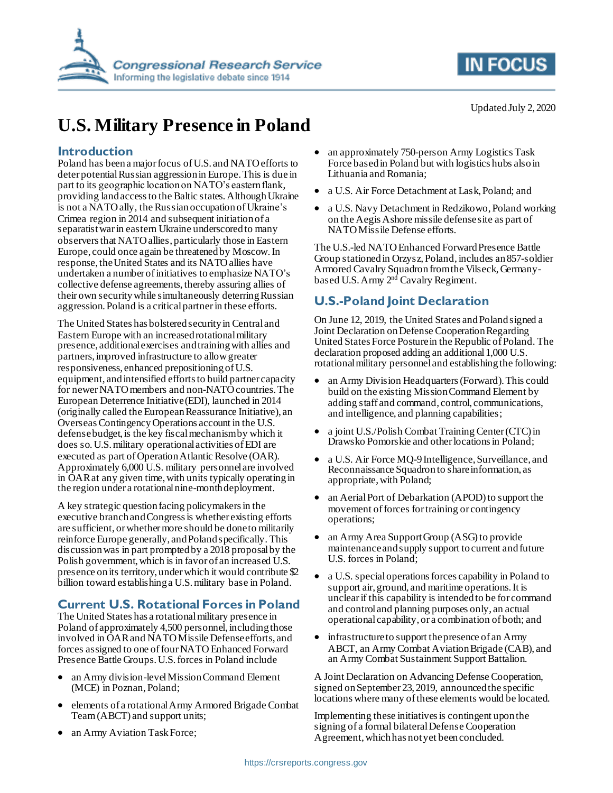



# **U.S. Military Presence in Poland**

#### **Introduction**

Poland has been a major focus of U.S. and NATO efforts to deter potential Russian aggression in Europe. This is due in part to its geographic location on NATO's eastern flank, providing land access to the Baltic states. Although Ukraine is not a NATO ally, the Russian occupation of Ukraine's Crimea region in 2014 and subsequent initiation of a separatist war in eastern Ukraine underscored to many observers that NATO allies, particularly those in Eastern Europe, could once again be threatened by Moscow. In response, the United States and its NATO allies have undertaken a number of initiatives to emphasize NATO's collective defense agreements, thereby assuring allies of their own security while simultaneously deterring Russian aggression. Poland is a critical partner in these efforts.

The United States has bolstered security in Central and Eastern Europe with an increased rotational military presence, additional exercises and training with allies and partners, improved infrastructure to allow greater responsiveness, enhanced prepositioning of U.S. equipment, and intensified efforts to build partner capacity for newer NATO members and non-NATO countries.The European Deterrence Initiative (EDI), launched in 2014 (originally called the European Reassurance Initiative), an Overseas ContingencyOperations account in the U.S. defense budget, is the key fiscal mechanism by which it does so. U.S.military operational activities of EDI are executed as part of Operation Atlantic Resolve (OAR). Approximately 6,000 U.S. military personnel are involved in OARat any given time, with units typically operating in the region under a rotational nine-month deployment.

A key strategic question facing policymakers in the executive branch and Congress is whether existing efforts are sufficient, or whether more should be done to militarily reinforce Europe generally, and Poland specifically. This discussion was in part prompted by a 2018 proposal by the Polish government, which is in favor of an increased U.S. presence on its territory, under which it would contribute \$2 billion toward establishing a U.S. military base in Poland.

## **Current U.S. Rotational Forces in Poland**

The United States has a rotational military presence in Poland of approximately 4,500 personnel, including those involved in OARand NATO Missile Defense efforts, and forces assigned to one of four NATO Enhanced Forward Presence Battle Groups.U.S. forces in Poland include

- an Army division-level Mission Command Element (MCE) in Poznan, Poland;
- elements of a rotational Army Armored Brigade Combat Team (ABCT) and support units;
- an approximately 750-person Army Logistics Task Force based in Poland but with logistics hubs also in Lithuania and Romania;
- a U.S. Air Force Detachment at Lask, Poland; and
- a U.S. Navy Detachment in Redzikowo, Poland working on the Aegis Ashore missile defense site as part of NATO Missile Defense efforts.

The U.S.-led NATO Enhanced Forward Presence Battle Group stationed in Orzysz, Poland,includes an857-soldier Armored Cavalry Squadron from the Vilseck, Germanybased U.S. Army 2<sup>nd</sup> Cavalry Regiment.

# **U.S.-Poland Joint Declaration**

On June 12, 2019, the United States and Poland signed a Joint Declaration on Defense Cooperation Regarding United States Force Posture in the Republic of Poland. The declaration proposed adding an additional 1,000 U.S. rotational military personnel and establishing the following:

- an Army Division Headquarters (Forward). This could build on the existing Mission Command Element by adding staff and command, control, communications, and intelligence, and planning capabilities;
- a joint U.S./Polish Combat Training Center (CTC) in Drawsko Pomorskie and other locations in Poland;
- a U.S. Air Force MQ-9 Intelligence, Surveillance, and Reconnaissance Squadron to share information, as appropriate, with Poland;
- an Aerial Port of Debarkation (APOD) to support the movement of forces for training or contingency operations;
- an Army Area Support Group (ASG) to provide maintenance and supply support to current and future U.S. forces in Poland;
- a U.S. special operations forces capability in Poland to support air, ground, and maritime operations. It is unclear if this capability is intended to be for command and control and planning purposes only, an actual operational capability, or a combination of both; and
- infrastructure to support the presence of an Army ABCT, an Army Combat Aviation Brigade (CAB), and an Army Combat Sustainment Support Battalion.

A Joint Declaration on Advancing Defense Cooperation, signed on September 23, 2019, announced the specific locations where many of these elements would be located.

Implementing these initiatives is contingent upon the signing of a formal bilateralDefense Cooperation Agreement, which has not yet been concluded.

an Army Aviation Task Force;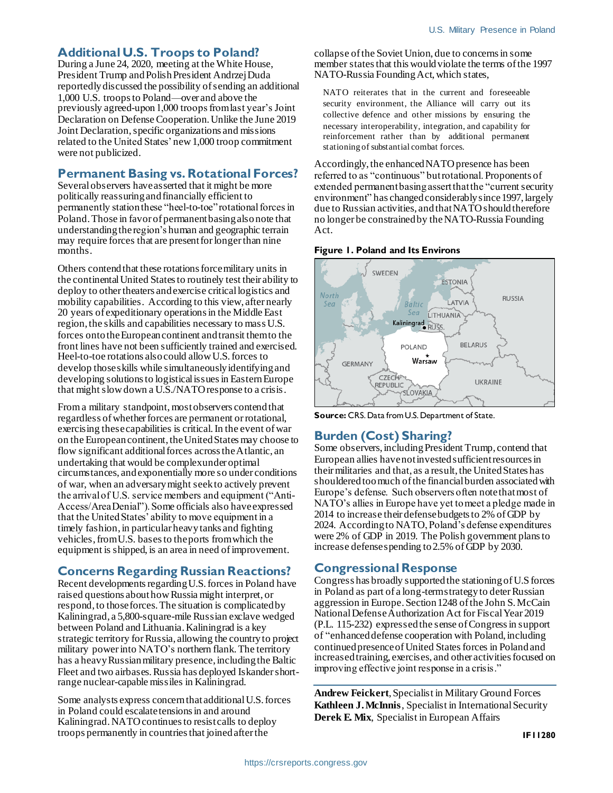#### **Additional U.S. Troops to Poland?**

During a June 24, 2020, meeting at the White House, President Trump and Polish President Andrzej Duda reportedly discussed the possibility of sending an additional 1,000 U.S. troops to Poland—over and above the previously agreed-upon 1,000 troops from last year's Joint Declaration on Defense Cooperation. Unlike the June 2019 Joint Declaration, specific organizations and missions related to the United States' new 1,000 troop commitment were not publicized.

#### **Permanent Basing vs. Rotational Forces?**

Several observers have asserted that it might be more politically reassuring and financially efficient to permanently station these "heel-to-toe" rotational forcesin Poland. Those in favor of permanent basing also note that understanding the region's human and geographic terrain may require forces that are present for longer than nine months.

Others contend that these rotations force military units in the continental United States to routinely test their ability to deploy to other theaters and exercise critical logistics and mobility capabilities. According to this view, after nearly 20 years of expeditionary operations in the Middle East region, the skills and capabilities necessary to mass U.S. forces onto the European continent and transit them to the front lines have not been sufficiently trained and exercised. Heel-to-toe rotations also could allow U.S. forces to develop those skills while simultaneously identifying and developing solutions to logistical issues in Eastern Europe that might slow down a U.S./NATO response to a crisis.

From a military standpoint, most observers contend that regardless of whether forces are permanent or rotational, exercising these capabilities is critical. In the event of war on the European continent, the United States may choose to flow significant additional forces across the Atlantic, an undertaking that would be complex under optimal circumstances, and exponentially more so under conditions of war, when an adversary might seek to actively prevent the arrival of U.S. service members and equipment ("Anti-Access/Area Denial"). Some officials also have expressed that the United States' ability to move equipment in a timely fashion, in particular heavy tanks and fighting vehicles, from U.S. bases to the ports from which the equipment is shipped, is an area in need of improvement.

### **Concerns Regarding Russian Reactions?**

Recent developments regarding U.S. forces in Poland have raised questions about how Russia might interpret, or respond, to those forces. The situation is complicated by Kaliningrad, a 5,800-square-mile Russian exclave wedged between Poland and Lithuania. Kaliningrad is a key strategic territory for Russia, allowing the country to project military power into NATO's northern flank.The territory has a heavy Russian military presence, including the Baltic Fleet and two airbases. Russia has deployed Iskander shortrange nuclear-capable missiles in Kaliningrad.

Some analysts express concern that additional U.S. forces in Poland could escalate tensions in and around Kaliningrad. NATO continues to resist calls to deploy troops permanently in countries that joined after the

collapse of the Soviet Union, due to concerns in some member states that this would violate the terms of the 1997 NATO-Russia Founding Act, which states,

NATO reiterates that in the current and foreseeable security environment, the Alliance will carry out its collective defence and other missions by ensuring the necessary interoperability, integration, and capability for reinforcement rather than by additional permanent stationing of substantial combat forces.

Accordingly, the enhanced NATO presence has been referred to as "continuous" but rotational. Proponents of extended permanent basing assert that the "current security environment" has changed considerably since 1997, largely due to Russian activities, and that NATO should therefore no longer be constrained by the NATO-Russia Founding Act.

#### **Figure 1. Poland and Its Environs**



**Source:** CRS. Data from U.S. Department of State.

### **Burden (Cost) Sharing?**

Some observers, including President Trump, contend that European allies have not invested sufficient resources in their militaries and that, as a result, the United States has shouldered too much of the financial burden associated with Europe's defense. Such observers often notethat most of NATO's allies in Europe have yet to meet a pledge made in 2014 to increase their defense budgets to 2% of GDP by 2024. According to NATO, Poland's defense expenditures were 2% of GDP in 2019. The Polish government plans to increase defense spending to 2.5% of GDP by 2030.

#### **Congressional Response**

Congress has broadly supported the stationing of U.S forces in Poland as part of a long-term strategy to deter Russian aggression in Europe. Section 1248 of the John S. McCain National Defense Authorization Act for Fiscal Year 2019 (P.L. 115-232) expressed the sense of Congress in support of "enhanced defense cooperation with Poland, including continued presence of United States forces in Poland and increased training, exercises, and other activities focused on improving effective joint response in a crisis."

**Andrew Feickert**, Specialist in Military Ground Forces **Kathleen J. McInnis**, Specialist in International Security **Derek E. Mix**, Specialist in European Affairs